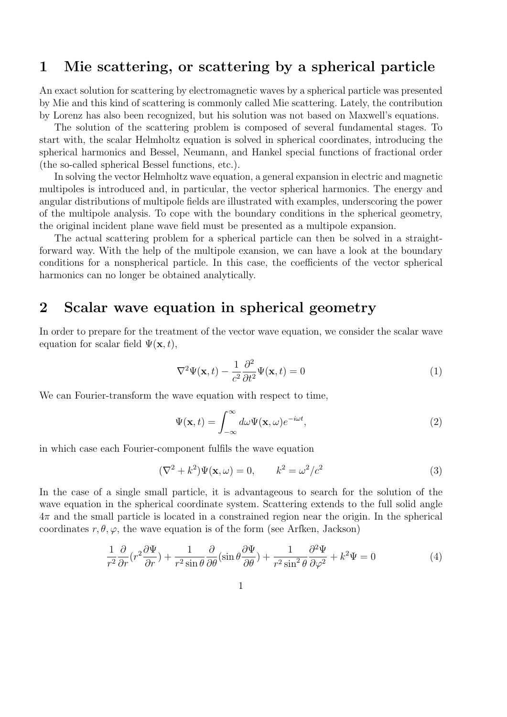### 1 Mie scattering, or scattering by a spherical particle

An exact solution for scattering by electromagnetic waves by a spherical particle was presented by Mie and this kind of scattering is commonly called Mie scattering. Lately, the contribution by Lorenz has also been recognized, but his solution was not based on Maxwell's equations.

The solution of the scattering problem is composed of several fundamental stages. To start with, the scalar Helmholtz equation is solved in spherical coordinates, introducing the spherical harmonics and Bessel, Neumann, and Hankel special functions of fractional order (the so-called spherical Bessel functions, etc.).

In solving the vector Helmholtz wave equation, a general expansion in electric and magnetic multipoles is introduced and, in particular, the vector spherical harmonics. The energy and angular distributions of multipole fields are illustrated with examples, underscoring the power of the multipole analysis. To cope with the boundary conditions in the spherical geometry, the original incident plane wave field must be presented as a multipole expansion.

The actual scattering problem for a spherical particle can then be solved in a straightforward way. With the help of the multipole exansion, we can have a look at the boundary conditions for a nonspherical particle. In this case, the coefficients of the vector spherical harmonics can no longer be obtained analytically.

#### 2 Scalar wave equation in spherical geometry

In order to prepare for the treatment of the vector wave equation, we consider the scalar wave equation for scalar field  $\Psi(\mathbf{x}, t)$ ,

$$
\nabla^2 \Psi(\mathbf{x}, t) - \frac{1}{c^2} \frac{\partial^2}{\partial t^2} \Psi(\mathbf{x}, t) = 0
$$
\n(1)

We can Fourier-transform the wave equation with respect to time,

$$
\Psi(\mathbf{x},t) = \int_{-\infty}^{\infty} d\omega \Psi(\mathbf{x},\omega) e^{-i\omega t},
$$
\n(2)

in which case each Fourier-component fulfils the wave equation

$$
(\nabla^2 + k^2)\Psi(\mathbf{x}, \omega) = 0, \qquad k^2 = \omega^2/c^2 \tag{3}
$$

In the case of a single small particle, it is advantageous to search for the solution of the wave equation in the spherical coordinate system. Scattering extends to the full solid angle  $4\pi$  and the small particle is located in a constrained region near the origin. In the spherical coordinates  $r, \theta, \varphi$ , the wave equation is of the form (see Arfken, Jackson)

$$
\frac{1}{r^2}\frac{\partial}{\partial r}\left(r^2\frac{\partial\Psi}{\partial r}\right) + \frac{1}{r^2\sin\theta}\frac{\partial}{\partial\theta}\left(\sin\theta\frac{\partial\Psi}{\partial\theta}\right) + \frac{1}{r^2\sin^2\theta}\frac{\partial^2\Psi}{\partial\varphi^2} + k^2\Psi = 0\tag{4}
$$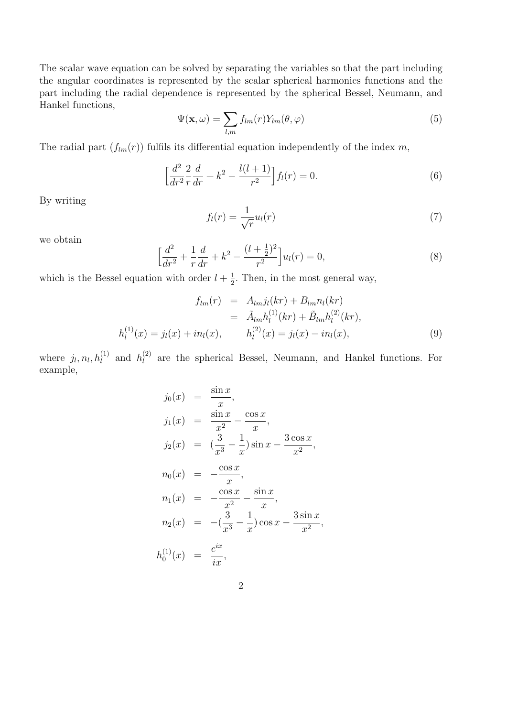The scalar wave equation can be solved by separating the variables so that the part including the angular coordinates is represented by the scalar spherical harmonics functions and the part including the radial dependence is represented by the spherical Bessel, Neumann, and Hankel functions,

$$
\Psi(\mathbf{x},\omega) = \sum_{l,m} f_{lm}(r) Y_{lm}(\theta,\varphi)
$$
\n(5)

The radial part  $(f_{lm}(r))$  fulfils its differential equation independently of the index  $m$ ,

$$
\left[\frac{d^2}{dr^2}\frac{2}{r}\frac{d}{dr} + k^2 - \frac{l(l+1)}{r^2}\right]f_l(r) = 0.
$$
\n(6)

By writing

$$
f_l(r) = \frac{1}{\sqrt{r}} u_l(r) \tag{7}
$$

we obtain

$$
\left[\frac{d^2}{dr^2} + \frac{1}{r}\frac{d}{dr} + k^2 - \frac{(l + \frac{1}{2})^2}{r^2}\right]u_l(r) = 0,
$$
\n(8)

which is the Bessel equation with order  $l + \frac{1}{2}$ . Then, in the most general way,

$$
f_{lm}(r) = A_{lm} j_l(kr) + B_{lm} n_l(kr)
$$
  
=  $\tilde{A}_{lm} h_l^{(1)}(kr) + \tilde{B}_{lm} h_l^{(2)}(kr),$   

$$
h_l^{(1)}(x) = j_l(x) + i n_l(x), \qquad h_l^{(2)}(x) = j_l(x) - i n_l(x), \qquad (9)
$$

where  $j_l, n_l, h_l^{(1)}$  and  $h_l^{(2)}$  are the spherical Bessel, Neumann, and Hankel functions. For example,

$$
j_0(x) = \frac{\sin x}{x},
$$
  
\n
$$
j_1(x) = \frac{\sin x}{x^2} - \frac{\cos x}{x},
$$
  
\n
$$
j_2(x) = (\frac{3}{x^3} - \frac{1}{x})\sin x - \frac{3\cos x}{x^2},
$$
  
\n
$$
n_0(x) = -\frac{\cos x}{x},
$$
  
\n
$$
n_1(x) = -\frac{\cos x}{x^2} - \frac{\sin x}{x},
$$
  
\n
$$
n_2(x) = -(\frac{3}{x^3} - \frac{1}{x})\cos x - \frac{3\sin x}{x^2},
$$
  
\n
$$
h_0^{(1)}(x) = \frac{e^{ix}}{ix},
$$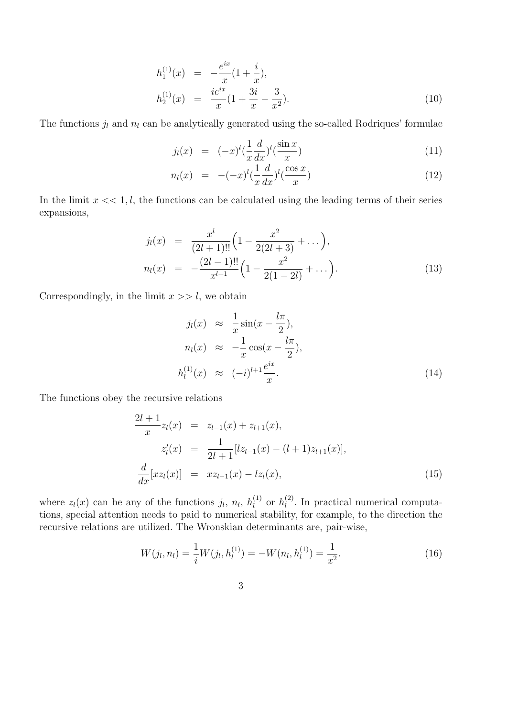$$
h_1^{(1)}(x) = -\frac{e^{ix}}{x}(1 + \frac{i}{x}),
$$
  
\n
$$
h_2^{(1)}(x) = \frac{ie^{ix}}{x}(1 + \frac{3i}{x} - \frac{3}{x^2}).
$$
\n(10)

The functions  $j_l$  and  $n_l$  can be analytically generated using the so-called Rodriques' formulae

$$
j_l(x) = (-x)^l \left(\frac{1}{x} \frac{d}{dx}\right)^l \left(\frac{\sin x}{x}\right)
$$
\n(11)

$$
n_l(x) = -(-x)^l \left(\frac{1}{x} \frac{d}{dx}\right)^l \left(\frac{\cos x}{x}\right) \tag{12}
$$

In the limit  $x \ll 1, l$ , the functions can be calculated using the leading terms of their series expansions,

$$
j_l(x) = \frac{x^l}{(2l+1)!!} \left( 1 - \frac{x^2}{2(2l+3)} + \dots \right),
$$
  
\n
$$
n_l(x) = -\frac{(2l-1)!!}{x^{l+1}} \left( 1 - \frac{x^2}{2(1-2l)} + \dots \right).
$$
\n(13)

Correspondingly, in the limit  $x \gg l$ , we obtain

$$
j_l(x) \approx \frac{1}{x} \sin(x - \frac{l\pi}{2}),
$$
  
\n
$$
n_l(x) \approx -\frac{1}{x} \cos(x - \frac{l\pi}{2}),
$$
  
\n
$$
h_l^{(1)}(x) \approx (-i)^{l+1} \frac{e^{ix}}{x}.
$$
\n(14)

The functions obey the recursive relations

$$
\frac{2l+1}{x}z_{l}(x) = z_{l-1}(x) + z_{l+1}(x),
$$
  
\n
$$
z'_{l}(x) = \frac{1}{2l+1}[lz_{l-1}(x) - (l+1)z_{l+1}(x)],
$$
  
\n
$$
\frac{d}{dx}[xz_{l}(x)] = xz_{l-1}(x) - iz_{l}(x),
$$
\n(15)

where  $z_l(x)$  can be any of the functions  $j_l$ ,  $n_l$ ,  $h_l^{(1)}$  or  $h_l^{(2)}$ . In practical numerical computations, special attention needs to paid to numerical stability, for example, to the direction the recursive relations are utilized. The Wronskian determinants are, pair-wise,

$$
W(j_l, n_l) = \frac{1}{i} W(j_l, h_l^{(1)}) = -W(n_l, h_l^{(1)}) = \frac{1}{x^2}.
$$
\n(16)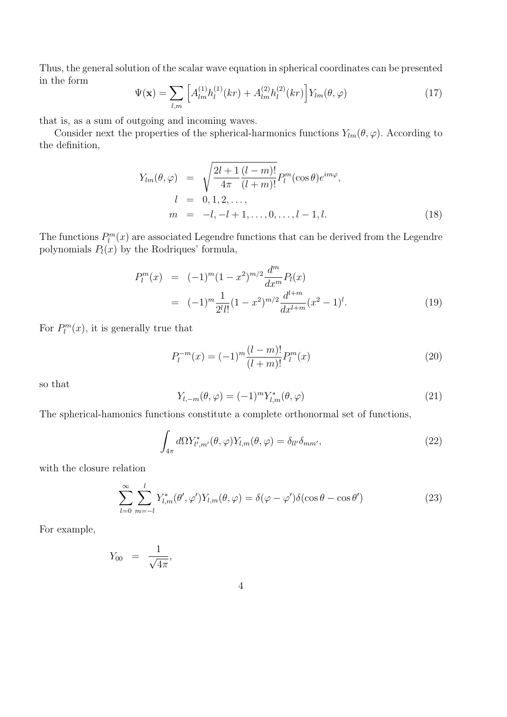Thus, the general solution of the scalar wave equation in spherical coordinates can be presented in the form

$$
\Psi(\mathbf{x}) = \sum_{l,m} \left[ A_{lm}^{(1)} h_l^{(1)}(kr) + A_{lm}^{(2)} h_l^{(2)}(kr) \right] Y_{lm}(\theta, \varphi)
$$
(17)

that is, as a sum of outgoing and incoming waves.

Consider next the properties of the spherical-harmonics functions  $Y_{lm}(\theta, \varphi)$ . According to the definition,

$$
Y_{lm}(\theta,\varphi) = \sqrt{\frac{2l+1}{4\pi} \frac{(l-m)!}{(l+m)!}} P_l^m(\cos\theta) e^{im\varphi},
$$
  
\n
$$
l = 0, 1, 2, ...,
$$
  
\n
$$
m = -l, -l+1, ..., 0, ..., l-1, l.
$$
\n(18)

The functions  $P_l^m(x)$  are associated Legendre functions that can be derived from the Legendre polynomials  $P_l(x)$  by the Rodriques' formula,

$$
P_l^m(x) = (-1)^m (1 - x^2)^{m/2} \frac{d^m}{dx^m} P_l(x)
$$
  
= 
$$
(-1)^m \frac{1}{2^l l!} (1 - x^2)^{m/2} \frac{d^{l+m}}{dx^{l+m}} (x^2 - 1)^l.
$$
 (19)

For  $P_l^m(x)$ , it is generally true that

$$
P_l^{-m}(x) = (-1)^m \frac{(l-m)!}{(l+m)!} P_l^m(x)
$$
\n(20)

so that

$$
Y_{l,-m}(\theta,\varphi) = (-1)^m Y_{l,m}^*(\theta,\varphi)
$$
\n(21)

The spherical-hamonics functions constitute a complete orthonormal set of functions,

$$
\int_{4\pi} d\Omega Y_{l',m'}^*(\theta,\varphi) Y_{l,m}(\theta,\varphi) = \delta_{ll'}\delta_{mm'},
$$
\n(22)

with the closure relation

$$
\sum_{l=0}^{\infty} \sum_{m=-l}^{l} Y_{l,m}^{*}(\theta', \varphi') Y_{l,m}(\theta, \varphi) = \delta(\varphi - \varphi') \delta(\cos \theta - \cos \theta')
$$
 (23)

For example,

$$
Y_{00} = \frac{1}{\sqrt{4\pi}},
$$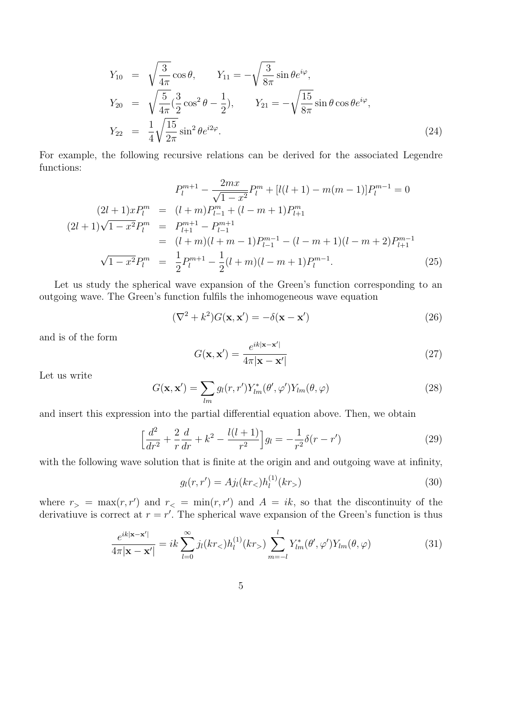$$
Y_{10} = \sqrt{\frac{3}{4\pi}} \cos \theta, \qquad Y_{11} = -\sqrt{\frac{3}{8\pi}} \sin \theta e^{i\varphi},
$$
  
\n
$$
Y_{20} = \sqrt{\frac{5}{4\pi}} (\frac{3}{2} \cos^2 \theta - \frac{1}{2}), \qquad Y_{21} = -\sqrt{\frac{15}{8\pi}} \sin \theta \cos \theta e^{i\varphi},
$$
  
\n
$$
Y_{22} = \frac{1}{4} \sqrt{\frac{15}{2\pi}} \sin^2 \theta e^{i2\varphi}.
$$
\n(24)

For example, the following recursive relations can be derived for the associated Legendre functions:

$$
P_{l}^{m+1} - \frac{2mx}{\sqrt{1 - x^{2}}} P_{l}^{m} + [l(l+1) - m(m-1)] P_{l}^{m-1} = 0
$$
  
\n
$$
(2l+1)xP_{l}^{m} = (l+m)P_{l-1}^{m} + (l-m+1)P_{l+1}^{m}
$$
  
\n
$$
(2l+1)\sqrt{1 - x^{2}}P_{l}^{m} = P_{l+1}^{m+1} - P_{l-1}^{m+1}
$$
  
\n
$$
= (l+m)(l+m-1)P_{l-1}^{m-1} - (l-m+1)(l-m+2)P_{l+1}^{m-1}
$$
  
\n
$$
\sqrt{1 - x^{2}}P_{l}^{m} = \frac{1}{2}P_{l}^{m+1} - \frac{1}{2}(l+m)(l-m+1)P_{l}^{m-1}.
$$
  
\n(25)

Let us study the spherical wave expansion of the Green's function corresponding to an outgoing wave. The Green's function fulfils the inhomogeneous wave equation

$$
(\nabla^2 + k^2)G(\mathbf{x}, \mathbf{x}') = -\delta(\mathbf{x} - \mathbf{x}')
$$
\n(26)

and is of the form

$$
G(\mathbf{x}, \mathbf{x}') = \frac{e^{ik|\mathbf{x} - \mathbf{x}'|}}{4\pi|\mathbf{x} - \mathbf{x}'|}
$$
(27)

Let us write

$$
G(\mathbf{x}, \mathbf{x}') = \sum_{lm} g_l(r, r') Y^*_{lm}(\theta', \varphi') Y_{lm}(\theta, \varphi)
$$
\n(28)

and insert this expression into the partial differential equation above. Then, we obtain

$$
\left[\frac{d^2}{dr^2} + \frac{2}{r}\frac{d}{dr} + k^2 - \frac{l(l+1)}{r^2}\right]g_l = -\frac{1}{r^2}\delta(r - r')
$$
\n(29)

with the following wave solution that is finite at the origin and and outgoing wave at infinity,

$$
g_l(r, r') = A j_l(kr_<) h_l^{(1)}(kr_>)
$$
\n(30)

where  $r$ <sub>></sub> = max(*r, r'*) and  $r$ <sub><</sub> = min(*r, r'*) and  $A = ik$ , so that the discontinuity of the derivatiuve is correct at  $r = r'$ . The spherical wave expansion of the Green's function is thus

$$
\frac{e^{ik|\mathbf{x}-\mathbf{x}'|}}{4\pi|\mathbf{x}-\mathbf{x}'|} = ik \sum_{l=0}^{\infty} j_l(kr_<)h_l^{(1)}(kr_>) \sum_{m=-l}^{l} Y_{lm}^*(\theta', \varphi') Y_{lm}(\theta, \varphi)
$$
(31)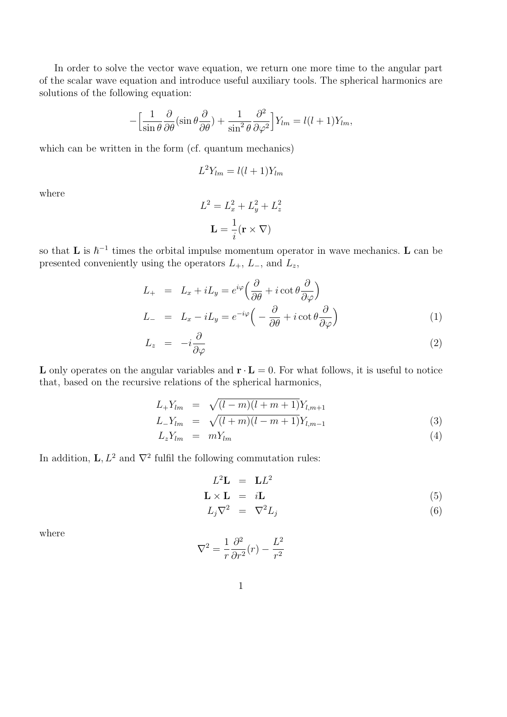In order to solve the vector wave equation, we return one more time to the angular part of the scalar wave equation and introduce useful auxiliary tools. The spherical harmonics are solutions of the following equation:

$$
-\left[\frac{1}{\sin\theta}\frac{\partial}{\partial\theta}(\sin\theta\frac{\partial}{\partial\theta}) + \frac{1}{\sin^2\theta}\frac{\partial^2}{\partial\varphi^2}\right]Y_{lm} = l(l+1)Y_{lm},
$$

which can be written in the form (cf. quantum mechanics)

$$
L^2 Y_{lm} = l(l+1)Y_{lm}
$$

where

$$
L^{2} = L_{x}^{2} + L_{y}^{2} + L_{z}^{2}
$$

$$
\mathbf{L} = \frac{1}{i} (\mathbf{r} \times \nabla)
$$

so that **L** is  $\hbar^{-1}$  times the orbital impulse momentum operator in wave mechanics. **L** can be presented conveniently using the operators  $L_+$ ,  $L_-$ , and  $L_z$ ,

$$
L_{+} = L_{x} + iL_{y} = e^{i\varphi} \left( \frac{\partial}{\partial \theta} + i \cot \theta \frac{\partial}{\partial \varphi} \right)
$$
  
\n
$$
L_{-} = L_{x} - iL_{y} = e^{-i\varphi} \left( -\frac{\partial}{\partial \theta} + i \cot \theta \frac{\partial}{\partial \varphi} \right)
$$
\n(1)

$$
L_z = -i\frac{\partial}{\partial \varphi} \tag{2}
$$

L only operates on the angular variables and  $\mathbf{r} \cdot \mathbf{L} = 0$ . For what follows, it is useful to notice that, based on the recursive relations of the spherical harmonics,

$$
L_{+}Y_{lm} = \sqrt{(l-m)(l+m+1)}Y_{l,m+1}
$$
  
\n
$$
L_{-}Y_{lm} = \sqrt{(l+m)(l-m+1)}Y_{l,m-1}
$$
\n(3)

$$
L_z Y_{lm} = m Y_{lm} \tag{4}
$$

In addition,  $\mathbf{L}, L^2$  and  $\nabla^2$  fulfil the following commutation rules:

$$
L^2 \mathbf{L} = \mathbf{L} L^2
$$
  

$$
\mathbf{L} \times \mathbf{L} = i \mathbf{L}
$$
 (5)

$$
L_j \nabla^2 = \nabla^2 L_j \tag{6}
$$

where

$$
\nabla^2 = \frac{1}{r} \frac{\partial^2}{\partial r^2} (r) - \frac{L^2}{r^2}
$$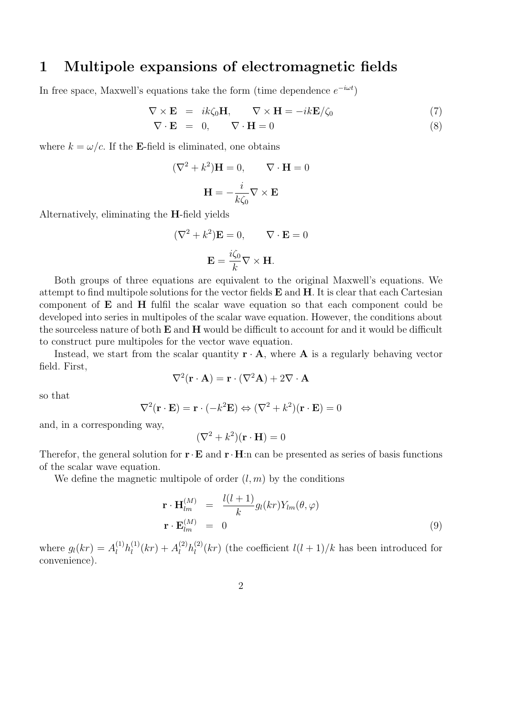### 1 Multipole expansions of electromagnetic fields

In free space, Maxwell's equations take the form (time dependence  $e^{-i\omega t}$ )

$$
\nabla \times \mathbf{E} = ik\zeta_0 \mathbf{H}, \qquad \nabla \times \mathbf{H} = -ik\mathbf{E}/\zeta_0 \tag{7}
$$
  

$$
\nabla \cdot \mathbf{E} = 0, \qquad \nabla \cdot \mathbf{H} = 0 \tag{8}
$$

where  $k = \omega/c$ . If the **E**-field is eliminated, one obtains

$$
(\nabla^2 + k^2)\mathbf{H} = 0, \qquad \nabla \cdot \mathbf{H} = 0
$$

$$
\mathbf{H} = -\frac{i}{k\zeta_0} \nabla \times \mathbf{E}
$$

Alternatively, eliminating the H-field yields

$$
(\nabla^2 + k^2)\mathbf{E} = 0, \qquad \nabla \cdot \mathbf{E} = 0
$$

$$
\mathbf{E} = \frac{i\zeta_0}{k} \nabla \times \mathbf{H}.
$$

Both groups of three equations are equivalent to the original Maxwell's equations. We attempt to find multipole solutions for the vector fields E and H. It is clear that each Cartesian component of E and H fulfil the scalar wave equation so that each component could be developed into series in multipoles of the scalar wave equation. However, the conditions about the sourceless nature of both  $E$  and  $H$  would be difficult to account for and it would be difficult to construct pure multipoles for the vector wave equation.

Instead, we start from the scalar quantity  $\mathbf{r} \cdot \mathbf{A}$ , where **A** is a regularly behaving vector field. First,

$$
\nabla^2(\mathbf{r} \cdot \mathbf{A}) = \mathbf{r} \cdot (\nabla^2 \mathbf{A}) + 2\nabla \cdot \mathbf{A}
$$

so that

$$
\nabla^2(\mathbf{r} \cdot \mathbf{E}) = \mathbf{r} \cdot (-k^2 \mathbf{E}) \Leftrightarrow (\nabla^2 + k^2)(\mathbf{r} \cdot \mathbf{E}) = 0
$$

and, in a corresponding way,

$$
(\nabla^2 + k^2)(\mathbf{r} \cdot \mathbf{H}) = 0
$$

Therefor, the general solution for  $\mathbf{r} \cdot \mathbf{E}$  and  $\mathbf{r} \cdot \mathbf{H}$ :n can be presented as series of basis functions of the scalar wave equation.

We define the magnetic multipole of order  $(l, m)$  by the conditions

$$
\mathbf{r} \cdot \mathbf{H}_{lm}^{(M)} = \frac{l(l+1)}{k} g_l(kr) Y_{lm}(\theta, \varphi)
$$
  

$$
\mathbf{r} \cdot \mathbf{E}_{lm}^{(M)} = 0
$$
 (9)

where  $g_l(kr) = A_l^{(1)}h_l^{(1)}(kr) + A_l^{(2)}h_l^{(2)}(kr)$  (the coefficient  $l(l+1)/k$  has been introduced for convenience).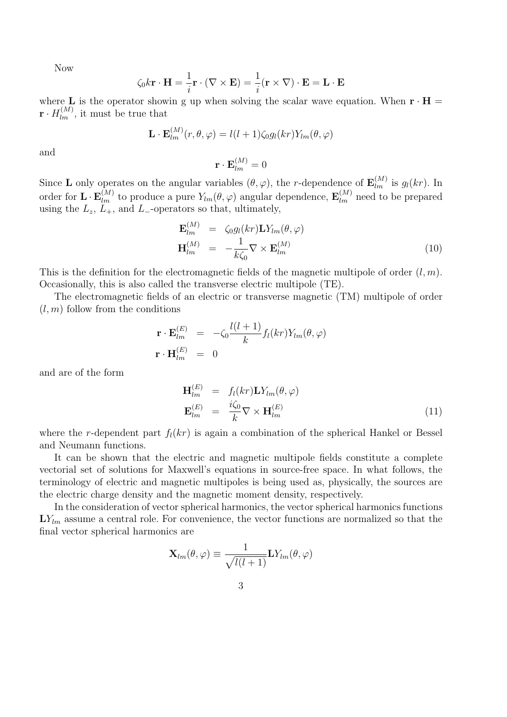Now

$$
\zeta_0 k \mathbf{r} \cdot \mathbf{H} = \frac{1}{i} \mathbf{r} \cdot (\nabla \times \mathbf{E}) = \frac{1}{i} (\mathbf{r} \times \nabla) \cdot \mathbf{E} = \mathbf{L} \cdot \mathbf{E}
$$

where **L** is the operator showin g up when solving the scalar wave equation. When  $\mathbf{r} \cdot \mathbf{H} =$  $\mathbf{r} \cdot H_{lm}^{(M)}$ , it must be true that

$$
\mathbf{L} \cdot \mathbf{E}_{lm}^{(M)}(r,\theta,\varphi) = l(l+1)\zeta_0 g_l(kr) Y_{lm}(\theta,\varphi)
$$

and

$$
\mathbf{r} \cdot \mathbf{E}_{lm}^{(M)} = 0
$$

Since **L** only operates on the angular variables  $(\theta, \varphi)$ , the *r*-dependence of  $\mathbf{E}_{lm}^{(M)}$  is  $g_l(kr)$ . In order for  $\mathbf{L} \cdot \mathbf{E}_{lm}^{(M)}$  to produce a pure  $Y_{lm}(\theta, \varphi)$  angular dependence,  $\mathbf{E}_{lm}^{(M)}$  need to be prepared using the  $L_z$ ,  $L_+$ , and  $L_-$ -operators so that, ultimately,

$$
\mathbf{E}_{lm}^{(M)} = \zeta_0 g_l(kr) \mathbf{L} Y_{lm}(\theta, \varphi)
$$
  

$$
\mathbf{H}_{lm}^{(M)} = -\frac{1}{k\zeta_0} \nabla \times \mathbf{E}_{lm}^{(M)}
$$
(10)

This is the definition for the electromagnetic fields of the magnetic multipole of order (*l, m*). Occasionally, this is also called the transverse electric multipole (TE).

The electromagnetic fields of an electric or transverse magnetic (TM) multipole of order  $(l, m)$  follow from the conditions

$$
\mathbf{r} \cdot \mathbf{E}_{lm}^{(E)} = -\zeta_0 \frac{l(l+1)}{k} f_l(kr) Y_{lm}(\theta, \varphi)
$$
  

$$
\mathbf{r} \cdot \mathbf{H}_{lm}^{(E)} = 0
$$

and are of the form

$$
\mathbf{H}_{lm}^{(E)} = f_l(kr)\mathbf{L}Y_{lm}(\theta,\varphi)
$$
\n
$$
\mathbf{E}_{lm}^{(E)} = \frac{i\zeta_0}{k}\nabla \times \mathbf{H}_{lm}^{(E)}
$$
\n(11)

where the *r*-dependent part  $f_l(kr)$  is again a combination of the spherical Hankel or Bessel and Neumann functions.

It can be shown that the electric and magnetic multipole fields constitute a complete vectorial set of solutions for Maxwell's equations in source-free space. In what follows, the terminology of electric and magnetic multipoles is being used as, physically, the sources are the electric charge density and the magnetic moment density, respectively.

In the consideration of vector spherical harmonics, the vector spherical harmonics functions  $LY_{lm}$  assume a central role. For convenience, the vector functions are normalized so that the final vector spherical harmonics are

$$
\mathbf{X}_{lm}(\theta,\varphi)\equiv\frac{1}{\sqrt{l(l+1)}}\mathbf{L}Y_{lm}(\theta,\varphi)
$$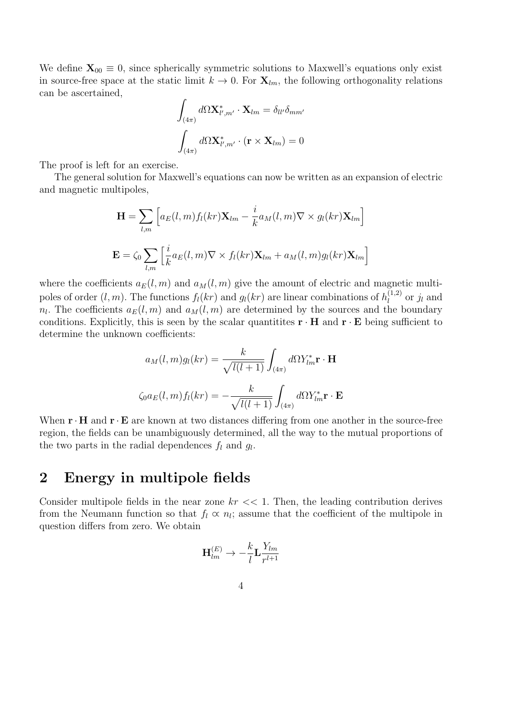We define  $\mathbf{X}_{00} \equiv 0$ , since spherically symmetric solutions to Maxwell's equations only exist in source-free space at the static limit  $k \to 0$ . For  $\mathbf{X}_{lm}$ , the following orthogonality relations can be ascertained,

$$
\int_{(4\pi)} d\Omega \mathbf{X}_{l',m'}^* \cdot \mathbf{X}_{lm} = \delta_{ll'} \delta_{mm'}
$$

$$
\int_{(4\pi)} d\Omega \mathbf{X}_{l',m'}^* \cdot (\mathbf{r} \times \mathbf{X}_{lm}) = 0
$$

The proof is left for an exercise.

The general solution for Maxwell's equations can now be written as an expansion of electric and magnetic multipoles,

$$
\mathbf{H} = \sum_{l,m} \left[ a_E(l,m) f_l(kr) \mathbf{X}_{lm} - \frac{i}{k} a_M(l,m) \nabla \times g_l(kr) \mathbf{X}_{lm} \right]
$$

$$
\mathbf{E} = \zeta_0 \sum_{l,m} \left[ \frac{i}{k} a_E(l,m) \nabla \times f_l(kr) \mathbf{X}_{lm} + a_M(l,m) g_l(kr) \mathbf{X}_{lm} \right]
$$

where the coefficients  $a_E(l, m)$  and  $a_M(l, m)$  give the amount of electric and magnetic multipoles of order  $(l, m)$ . The functions  $f_l(kr)$  and  $g_l(kr)$  are linear combinations of  $h_l^{(1,2)}$  or  $j_l$  and  $n_l$ . The coefficients  $a_E(l,m)$  and  $a_M(l,m)$  are determined by the sources and the boundary conditions. Explicitly, this is seen by the scalar quantitites  $\mathbf{r} \cdot \mathbf{H}$  and  $\mathbf{r} \cdot \mathbf{E}$  being sufficient to determine the unknown coefficients:

$$
a_M(l,m)g_l(kr) = \frac{k}{\sqrt{l(l+1)}} \int_{(4\pi)} d\Omega Y_{lm}^* \mathbf{r} \cdot \mathbf{H}
$$

$$
\zeta_0 a_E(l,m) f_l(kr) = -\frac{k}{\sqrt{l(l+1)}} \int_{(4\pi)} d\Omega Y_{lm}^* \mathbf{r} \cdot \mathbf{E}
$$

When  $\mathbf{r} \cdot \mathbf{H}$  and  $\mathbf{r} \cdot \mathbf{E}$  are known at two distances differing from one another in the source-free region, the fields can be unambiguously determined, all the way to the mutual proportions of the two parts in the radial dependences  $f_l$  and  $g_l$ .

# 2 Energy in multipole fields

Consider multipole fields in the near zone *kr <<* 1. Then, the leading contribution derives from the Neumann function so that  $f_l \propto n_l$ ; assume that the coefficient of the multipole in question differs from zero. We obtain

$$
\mathbf{H}_{lm}^{(E)} \rightarrow -\frac{k}{l} \mathbf{L} \frac{Y_{lm}}{r^{l+1}}
$$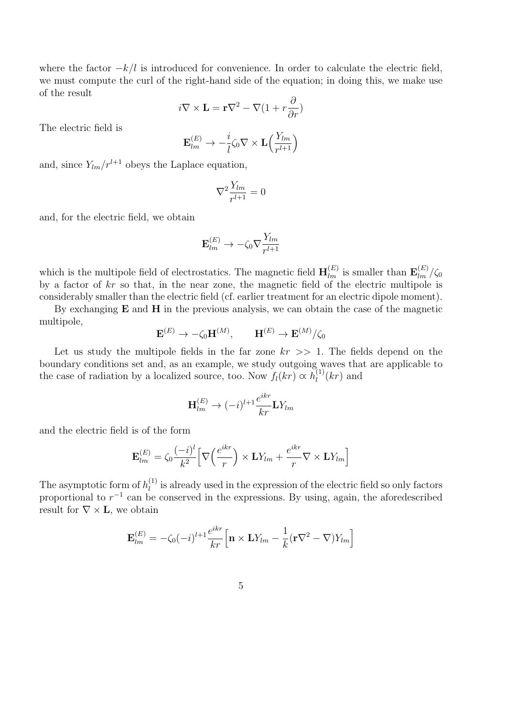where the factor  $-k/l$  is introduced for convenience. In order to calculate the electric field, we must compute the curl of the right-hand side of the equation; in doing this, we make use of the result

$$
i\nabla \times \mathbf{L} = \mathbf{r}\nabla^2 - \nabla(1 + r\frac{\partial}{\partial r})
$$

The electric field is

$$
\mathbf{E}_{lm}^{(E)} \rightarrow -\frac{i}{l} \zeta_0 \nabla \times \mathbf{L} \left( \frac{Y_{lm}}{r^{l+1}} \right)
$$

and, since  $Y_{lm}/r^{l+1}$  obeys the Laplace equation,

$$
\nabla^2 \frac{Y_{lm}}{r^{l+1}} = 0
$$

and, for the electric field, we obtain

$$
\mathbf{E}_{lm}^{(E)} \rightarrow -\zeta_0 \nabla \frac{Y_{lm}}{r^{l+1}}
$$

which is the multipole field of electrostatics. The magnetic field  $\mathbf{H}_{lm}^{(E)}$  is smaller than  $\mathbf{E}_{lm}^{(E)}/\zeta_0$ by a factor of *kr* so that, in the near zone, the magnetic field of the electric multipole is considerably smaller than the electric field (cf. earlier treatment for an electric dipole moment).

By exchanging  $E$  and  $H$  in the previous analysis, we can obtain the case of the magnetic multipole,

$$
\mathbf{E}^{(E)} \to -\zeta_0 \mathbf{H}^{(M)}, \qquad \mathbf{H}^{(E)} \to \mathbf{E}^{(M)}/\zeta_0
$$

Let us study the multipole fields in the far zone *kr >>* 1. The fields depend on the boundary conditions set and, as an example, we study outgoing waves that are applicable to the case of radiation by a localized source, too. Now  $f_l(kr) \propto h_l^{(1)}(kr)$  and

$$
\mathbf{H}_{lm}^{(E)} \rightarrow (-i)^{l+1} \frac{e^{ikr}}{kr} \mathbf{L} Y_{lm}
$$

and the electric field is of the form

$$
\mathbf{E}_{lm}^{(E)} = \zeta_0 \frac{(-i)^l}{k^2} \Big[ \nabla \Big( \frac{e^{ikr}}{r} \Big) \times \mathbf{L} Y_{lm} + \frac{e^{ikr}}{r} \nabla \times \mathbf{L} Y_{lm} \Big]
$$

The asymptotic form of  $h_l^{(1)}$  is already used in the expression of the electric field so only factors proportional to  $r^{-1}$  can be conserved in the expressions. By using, again, the aforedescribed result for  $\nabla \times L$ , we obtain

$$
\mathbf{E}_{lm}^{(E)} = -\zeta_0(-i)^{l+1} \frac{e^{ikr}}{kr} \Big[ \mathbf{n} \times \mathbf{L} Y_{lm} - \frac{1}{k} (\mathbf{r} \nabla^2 - \nabla) Y_{lm} \Big]
$$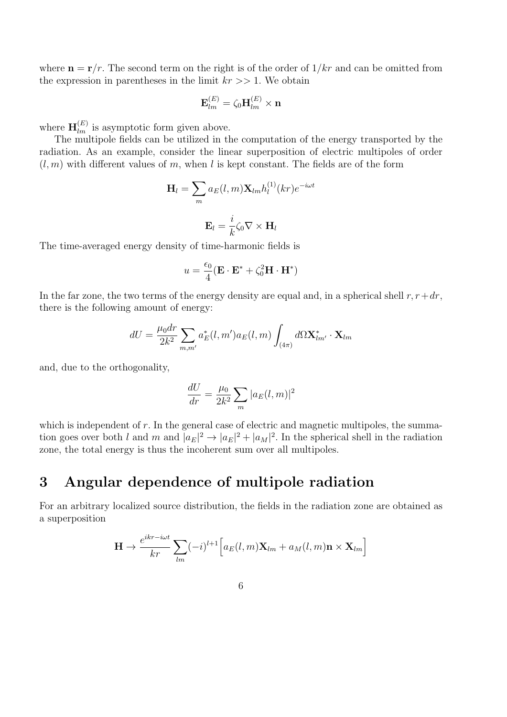where  $\mathbf{n} = \mathbf{r}/r$ . The second term on the right is of the order of  $1/kr$  and can be omitted from the expression in parentheses in the limit *kr >>* 1. We obtain

$$
\mathbf{E}_{lm}^{(E)} = \zeta_0 \mathbf{H}_{lm}^{(E)} \times \mathbf{n}
$$

where  $\mathbf{H}_{lm}^{(E)}$  is asymptotic form given above.

The multipole fields can be utilized in the computation of the energy transported by the radiation. As an example, consider the linear superposition of electric multipoles of order  $(l, m)$  with different values of m, when l is kept constant. The fields are of the form

$$
\mathbf{H}_{l} = \sum_{m} a_{E}(l, m) \mathbf{X}_{lm} h_{l}^{(1)}(kr) e^{-i\omega t}
$$

$$
\mathbf{E}_{l} = \frac{i}{k} \zeta_{0} \nabla \times \mathbf{H}_{l}
$$

The time-averaged energy density of time-harmonic fields is

$$
u = \frac{\epsilon_0}{4} (\mathbf{E} \cdot \mathbf{E}^* + \zeta_0^2 \mathbf{H} \cdot \mathbf{H}^*)
$$

In the far zone, the two terms of the energy density are equal and, in a spherical shell  $r, r+dr$ , there is the following amount of energy:

$$
dU = \frac{\mu_0 dr}{2k^2} \sum_{m,m'} a_E^*(l, m') a_E(l, m) \int_{(4\pi)} d\Omega \mathbf{X}_{lm'}^* \cdot \mathbf{X}_{lm}
$$

and, due to the orthogonality,

$$
\frac{dU}{dr} = \frac{\mu_0}{2k^2} \sum_m |a_E(l, m)|^2
$$

which is independent of  $r$ . In the general case of electric and magnetic multipoles, the summation goes over both *l* and *m* and  $|a_E|^2 \to |a_E|^2 + |a_M|^2$ . In the spherical shell in the radiation zone, the total energy is thus the incoherent sum over all multipoles.

## 3 Angular dependence of multipole radiation

For an arbitrary localized source distribution, the fields in the radiation zone are obtained as a superposition

$$
\mathbf{H} \to \frac{e^{ikr-i\omega t}}{kr} \sum_{lm} (-i)^{l+1} \Big[ a_E(l,m) \mathbf{X}_{lm} + a_M(l,m) \mathbf{n} \times \mathbf{X}_{lm} \Big]
$$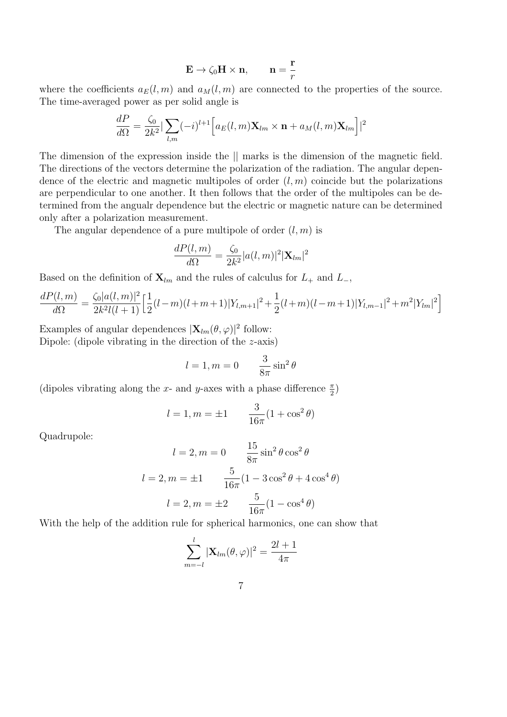$$
\mathbf{E} \to \zeta_0 \mathbf{H} \times \mathbf{n}, \qquad \mathbf{n} = \frac{\mathbf{r}}{r}
$$

where the coefficients  $a_E(l,m)$  and  $a_M(l,m)$  are connected to the properties of the source. The time-averaged power as per solid angle is

$$
\frac{dP}{d\Omega} = \frac{\zeta_0}{2k^2} |\sum_{l,m} (-i)^{l+1} \Big[ a_E(l,m) \mathbf{X}_{lm} \times \mathbf{n} + a_M(l,m) \mathbf{X}_{lm} \Big]|^2
$$

The dimension of the expression inside the *||* marks is the dimension of the magnetic field. The directions of the vectors determine the polarization of the radiation. The angular dependence of the electric and magnetic multipoles of order  $(l, m)$  coincide but the polarizations are perpendicular to one another. It then follows that the order of the multipoles can be determined from the angualr dependence but the electric or magnetic nature can be determined only after a polarization measurement.

The angular dependence of a pure multipole of order (*l, m*) is

$$
\frac{dP(l,m)}{d\Omega} = \frac{\zeta_0}{2k^2} |a(l,m)|^2 |\mathbf{X}_{lm}|^2
$$

Based on the definition of  $\mathbf{X}_{lm}$  and the rules of calculus for  $L_+$  and  $L_-$ ,

$$
\frac{dP(l,m)}{d\Omega} = \frac{\zeta_0|a(l,m)|^2}{2k^2l(l+1)} \Big[\frac{1}{2}(l-m)(l+m+1)|Y_{l,m+1}|^2 + \frac{1}{2}(l+m)(l-m+1)|Y_{l,m-1}|^2 + m^2|Y_{lm}|^2\Big]
$$

Examples of angular dependences  $|\mathbf{X}_{lm}(\theta,\varphi)|^2$  follow: Dipole: (dipole vibrating in the direction of the *z*-axis)

$$
l = 1, m = 0 \qquad \frac{3}{8\pi} \sin^2 \theta
$$

(dipoles vibrating along the *x*- and *y*-axes with a phase difference  $\frac{\pi}{2}$ )

$$
l = 1, m = \pm 1
$$
  $\frac{3}{16\pi}(1 + \cos^2 \theta)$ 

Quadrupole:

$$
l = 2, m = 0 \qquad \frac{15}{8\pi} \sin^2 \theta \cos^2 \theta
$$

$$
l = 2, m = \pm 1 \qquad \frac{5}{16\pi} (1 - 3\cos^2 \theta + 4\cos^4 \theta)
$$

$$
l = 2, m = \pm 2 \qquad \frac{5}{16\pi} (1 - \cos^4 \theta)
$$

With the help of the addition rule for spherical harmonics, one can show that

$$
\sum_{m=-l}^{l} |\mathbf{X}_{lm}(\theta,\varphi)|^2 = \frac{2l+1}{4\pi}
$$